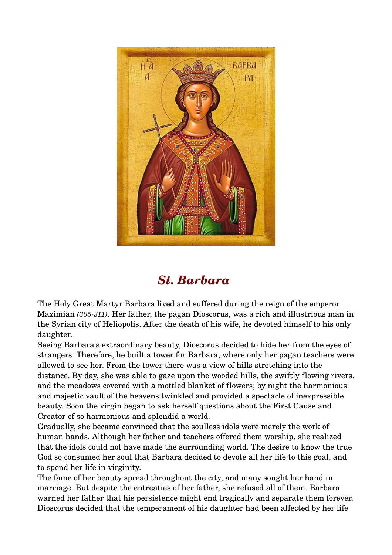

## *St. Barbara*

The Holy Great Martyr Barbara lived and suffered during the reign of the emperor Maximian *(305311)*. Her father, the pagan Dioscorus, was a rich and illustrious man in the Syrian city of Heliopolis. After the death of his wife, he devoted himself to his only daughter.

Seeing Barbara's extraordinary beauty, Dioscorus decided to hide her from the eyes of strangers. Therefore, he built a tower for Barbara, where only her pagan teachers were allowed to see her. From the tower there was a view of hills stretching into the distance. By day, she was able to gaze upon the wooded hills, the swiftly flowing rivers, and the meadows covered with a mottled blanket of flowers; by night the harmonious and majestic vault of the heavens twinkled and provided a spectacle of inexpressible beauty. Soon the virgin began to ask herself questions about the First Cause and Creator of so harmonious and splendid a world.

Gradually, she became convinced that the soulless idols were merely the work of human hands. Although her father and teachers offered them worship, she realized that the idols could not have made the surrounding world. The desire to know the true God so consumed her soul that Barbara decided to devote all her life to this goal, and to spend her life in virginity.

The fame of her beauty spread throughout the city, and many sought her hand in marriage. But despite the entreaties of her father, she refused all of them. Barbara warned her father that his persistence might end tragically and separate them forever. Dioscorus decided that the temperament of his daughter had been affected by her life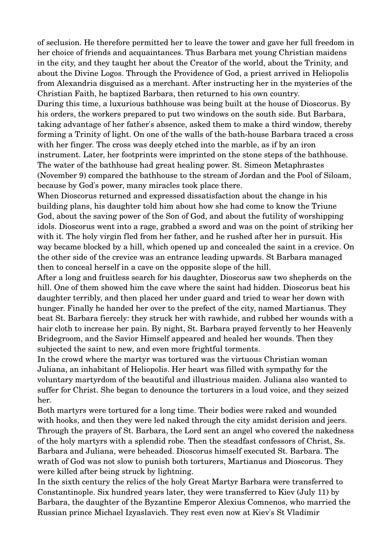of seclusion. He therefore permitted her to leave the tower and gave her full freedom in her choice of friends and acquaintances. Thus Barbara met young Christian maidens in the city, and they taught her about the Creator of the world, about the Trinity, and about the Divine Logos. Through the Providence of God, a priest arrived in Heliopolis from Alexandria disguised as a merchant. After instructing her in the mysteries of the Christian Faith, he baptized Barbara, then returned to his own country.

During this time, a luxurious bathhouse was being built at the house of Dioscorus. By his orders, the workers prepared to put two windows on the south side. But Barbara, taking advantage of her father's absence, asked them to make a third window, thereby forming a Trinity of light. On one of the walls of the bath-house Barbara traced a cross with her finger. The cross was deeply etched into the marble, as if by an iron instrument. Later, her footprints were imprinted on the stone steps of the bathhouse. The water of the bathhouse had great healing power. St. Simeon Metaphrastes (November 9) compared the bathhouse to the stream of Jordan and the Pool of Siloam, because by God's power, many miracles took place there.

When Dioscorus returned and expressed dissatisfaction about the change in his building plans, his daughter told him about how she had come to know the Triune God, about the saving power of the Son of God, and about the futility of worshipping idols. Dioscorus went into a rage, grabbed a sword and was on the point of striking her with it. The holy virgin fled from her father, and he rushed after her in pursuit. His way became blocked by a hill, which opened up and concealed the saint in a crevice. On the other side of the crevice was an entrance leading upwards. St Barbara managed then to conceal herself in a cave on the opposite slope of the hill.

After a long and fruitless search for his daughter, Dioscorus saw two shepherds on the hill. One of them showed him the cave where the saint had hidden. Dioscorus beat his daughter terribly, and then placed her under guard and tried to wear her down with hunger. Finally he handed her over to the prefect of the city, named Martianus. They beat St. Barbara fiercely: they struck her with rawhide, and rubbed her wounds with a hair cloth to increase her pain. By night, St. Barbara prayed fervently to her Heavenly Bridegroom, and the Savior Himself appeared and healed her wounds. Then they subjected the saint to new, and even more frightful torments.

In the crowd where the martyr was tortured was the virtuous Christian woman Juliana, an inhabitant of Heliopolis. Her heart was filled with sympathy for the voluntary martyrdom of the beautiful and illustrious maiden. Juliana also wanted to suffer for Christ. She began to denounce the torturers in a loud voice, and they seized her.

Both martyrs were tortured for a long time. Their bodies were raked and wounded with hooks, and then they were led naked through the city amidst derision and jeers. Through the prayers of St. Barbara, the Lord sent an angel who covered the nakedness of the holy martyrs with a splendid robe. Then the steadfast confessors of Christ, Ss. Barbara and Juliana, were beheaded. Dioscorus himself executed St. Barbara. The wrath of God was not slow to punish both torturers, Martianus and Dioscorus. They were killed after being struck by lightning.

In the sixth century the relics of the holy Great Martyr Barbara were transferred to Constantinople. Six hundred years later, they were transferred to Kiev (July 11) by Barbara, the daughter of the Byzantine Emperor Alexius Comnenos, who married the Russian prince Michael Izyaslavich. They rest even now at Kiev's St Vladimir